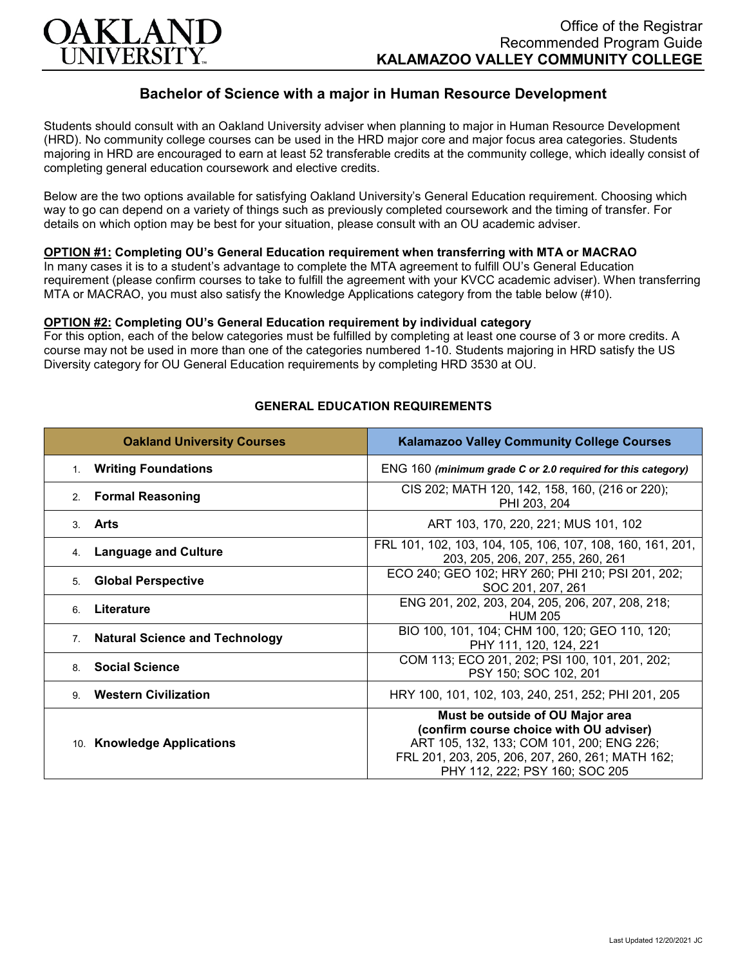

# **Bachelor of Science with a major in Human Resource Development**

Students should consult with an Oakland University adviser when planning to major in Human Resource Development (HRD). No community college courses can be used in the HRD major core and major focus area categories. Students majoring in HRD are encouraged to earn at least 52 transferable credits at the community college, which ideally consist of completing general education coursework and elective credits.

Below are the two options available for satisfying Oakland University's General Education requirement. Choosing which way to go can depend on a variety of things such as previously completed coursework and the timing of transfer. For details on which option may be best for your situation, please consult with an OU academic adviser.

### **OPTION #1: Completing OU's General Education requirement when transferring with MTA or MACRAO**

In many cases it is to a student's advantage to complete the MTA agreement to fulfill OU's General Education requirement (please confirm courses to take to fulfill the agreement with your KVCC academic adviser). When transferring MTA or MACRAO, you must also satisfy the Knowledge Applications category from the table below (#10).

#### **OPTION #2: Completing OU's General Education requirement by individual category**

For this option, each of the below categories must be fulfilled by completing at least one course of 3 or more credits. A course may not be used in more than one of the categories numbered 1-10. Students majoring in HRD satisfy the US Diversity category for OU General Education requirements by completing HRD 3530 at OU.

| <b>Oakland University Courses</b>           | <b>Kalamazoo Valley Community College Courses</b>                                                                                                                                                              |
|---------------------------------------------|----------------------------------------------------------------------------------------------------------------------------------------------------------------------------------------------------------------|
| 1. Writing Foundations                      | ENG 160 (minimum grade C or 2.0 required for this category)                                                                                                                                                    |
| 2. Formal Reasoning                         | CIS 202; MATH 120, 142, 158, 160, (216 or 220);<br>PHI 203, 204                                                                                                                                                |
| 3. Arts                                     | ART 103, 170, 220, 221; MUS 101, 102                                                                                                                                                                           |
| <b>Language and Culture</b><br>4.           | FRL 101, 102, 103, 104, 105, 106, 107, 108, 160, 161, 201,<br>203, 205, 206, 207, 255, 260, 261                                                                                                                |
| <b>Global Perspective</b><br>5.             | ECO 240; GEO 102; HRY 260; PHI 210; PSI 201, 202;<br>SOC 201, 207, 261                                                                                                                                         |
| Literature<br>6                             | ENG 201, 202, 203, 204, 205, 206, 207, 208, 218;<br><b>HUM 205</b>                                                                                                                                             |
| <b>Natural Science and Technology</b><br>7. | BIO 100, 101, 104; CHM 100, 120; GEO 110, 120;<br>PHY 111, 120, 124, 221                                                                                                                                       |
| <b>Social Science</b><br>8                  | COM 113; ECO 201, 202; PSI 100, 101, 201, 202;<br>PSY 150; SOC 102, 201                                                                                                                                        |
| <b>Western Civilization</b><br>9            | HRY 100, 101, 102, 103, 240, 251, 252; PHI 201, 205                                                                                                                                                            |
| 10. Knowledge Applications                  | Must be outside of OU Major area<br>(confirm course choice with OU adviser)<br>ART 105, 132, 133; COM 101, 200; ENG 226;<br>FRL 201, 203, 205, 206, 207, 260, 261; MATH 162;<br>PHY 112, 222; PSY 160; SOC 205 |

#### **GENERAL EDUCATION REQUIREMENTS**